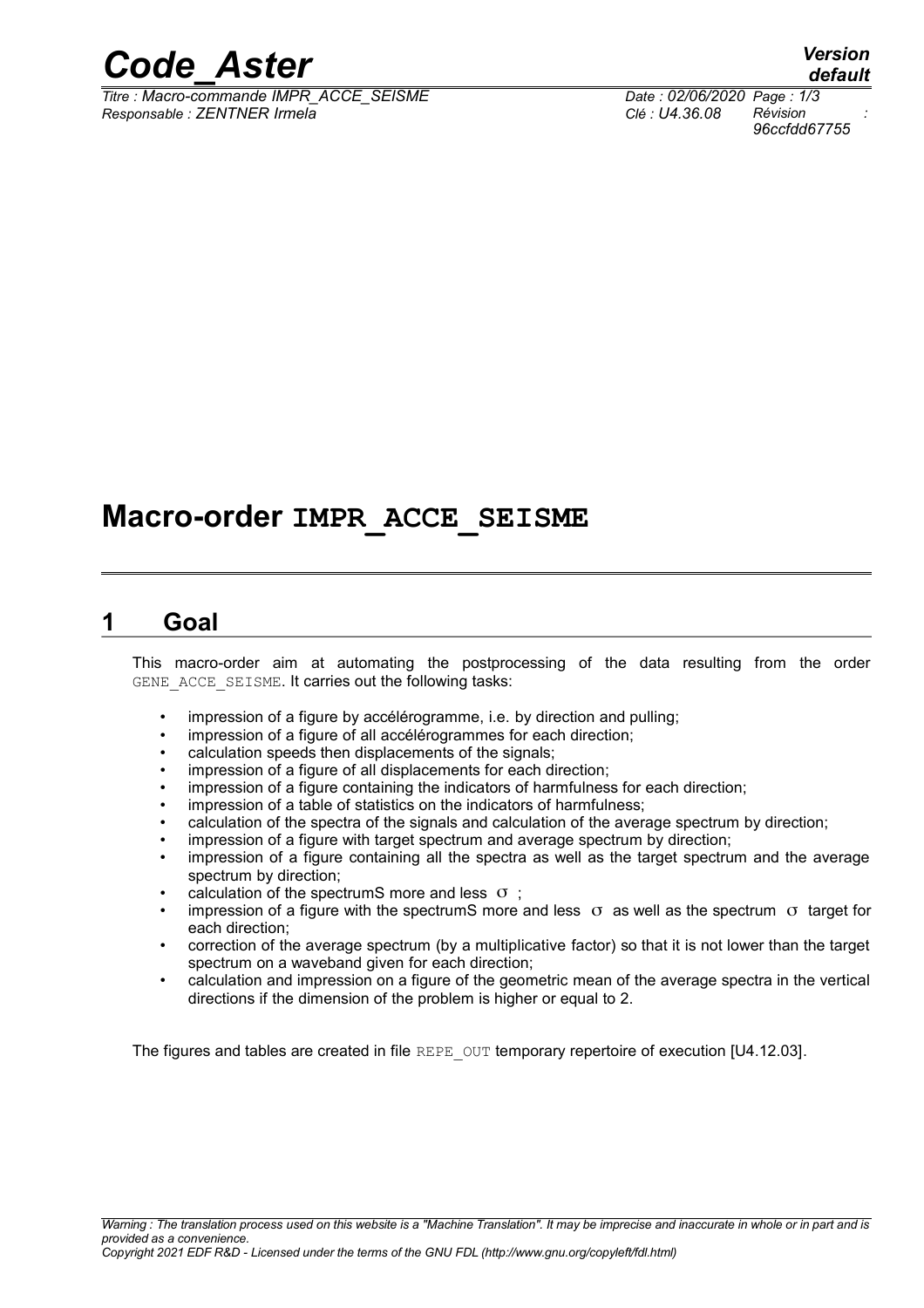

*Titre : Macro-commande IMPR\_ACCE\_SEISME Date : 02/06/2020 Page : 1/3 Responsable : ZENTNER Irmela Clé : U4.36.08 Révision :*

# **Macro-order IMPR\_ACCE\_SEISME**

#### **1 Goal**

This macro-order aim at automating the postprocessing of the data resulting from the order GENE ACCE SEISME. It carries out the following tasks:

- impression of a figure by accélérogramme, i.e. by direction and pulling;
- impression of a figure of all accélérogrammes for each direction;
- calculation speeds then displacements of the signals;
- impression of a figure of all displacements for each direction;
- impression of a figure containing the indicators of harmfulness for each direction;
- impression of a table of statistics on the indicators of harmfulness;
- calculation of the spectra of the signals and calculation of the average spectrum by direction;
- impression of a figure with target spectrum and average spectrum by direction;
- impression of a figure containing all the spectra as well as the target spectrum and the average spectrum by direction;
- calculation of the spectrumS more and less  $\sigma$  ;
- impression of a figure with the spectrumS more and less  $\sigma$  as well as the spectrum  $\sigma$  target for each direction;
- correction of the average spectrum (by a multiplicative factor) so that it is not lower than the target spectrum on a waveband given for each direction;
- calculation and impression on a figure of the geometric mean of the average spectra in the vertical directions if the dimension of the problem is higher or equal to 2.

The figures and tables are created in file REPE\_OUT temporary repertoire of execution [U4.12.03].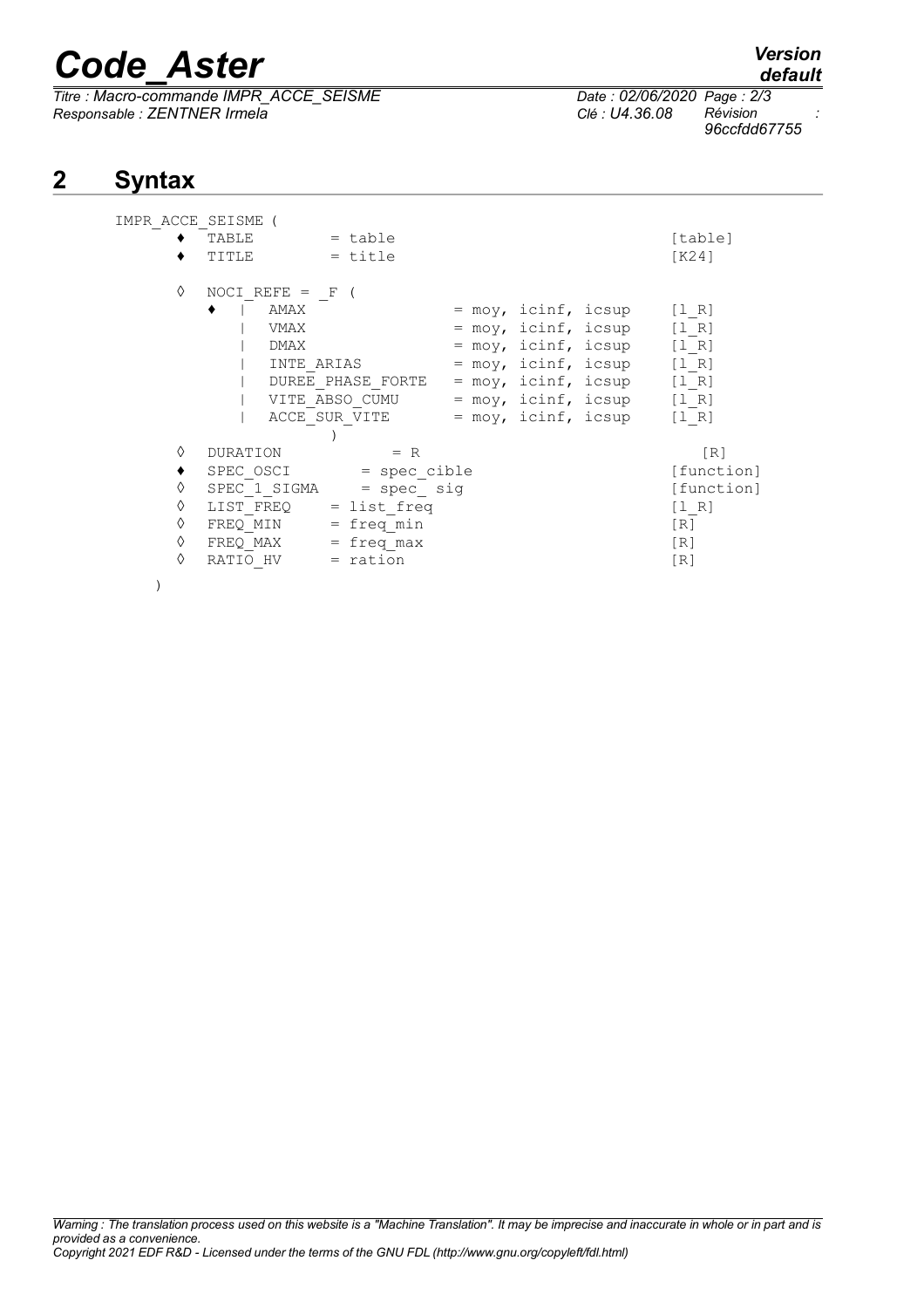# *Code\_Aster Version*

*Titre : Macro-commande IMPR\_ACCE\_SEISME Date : 02/06/2020 Page : 2/3 Responsable : ZENTNER Irmela Clé : U4.36.08 Révision :*

## **2 Syntax**

| IMPR ACCE SEISME |                                          |                                                                                                                     |  |  |                                                                                                                                                 |                                                |
|------------------|------------------------------------------|---------------------------------------------------------------------------------------------------------------------|--|--|-------------------------------------------------------------------------------------------------------------------------------------------------|------------------------------------------------|
|                  | TABLE                                    | $=$ table                                                                                                           |  |  |                                                                                                                                                 | [table]                                        |
|                  | TITLE                                    | $=$ title                                                                                                           |  |  |                                                                                                                                                 | K24                                            |
| ♦                | NOCI REFE = $F($<br>AMAX<br>VMAX<br>DMAX | INTE ARIAS<br>DUREE PHASE FORTE<br>VITE ABSO CUMU = $moy$ , icinf, icsup [1 R]<br>ACCE SUR VITE = moy, icinf, icsup |  |  | $=$ moy, icinf, icsup [1 R]<br>$=$ moy, icinf, icsup [1 R]<br>$=$ moy, icinf, icsup [1 R]<br>= moy, icinf, icsup<br>$=$ moy, icinf, icsup [1 R] | [1 R]<br>$\begin{bmatrix} 1 & R \end{bmatrix}$ |
|                  |                                          |                                                                                                                     |  |  |                                                                                                                                                 |                                                |
| ♦                | DURATION                                 | $= R$                                                                                                               |  |  |                                                                                                                                                 | [R]                                            |
|                  |                                          | SPEC OSCI<br>= spec cible                                                                                           |  |  |                                                                                                                                                 |                                                |
| ♦                | SPEC 1 SIGMA<br>$=$ spec $sig$           |                                                                                                                     |  |  |                                                                                                                                                 | [function]                                     |
| ♦                | $LIST FREQ = list freq$                  |                                                                                                                     |  |  |                                                                                                                                                 | $\begin{bmatrix} 1 & R \end{bmatrix}$          |
| ♦                | FREQ MIN                                 | $=$ freq min                                                                                                        |  |  |                                                                                                                                                 | $\lceil R \rceil$                              |
| ♦                | FREQ MAX                                 | $=$ freq max                                                                                                        |  |  |                                                                                                                                                 | [R]                                            |
| ♦                | RATIO HV                                 | = ration                                                                                                            |  |  |                                                                                                                                                 | [R]                                            |
|                  |                                          |                                                                                                                     |  |  |                                                                                                                                                 |                                                |

*96ccfdd67755*

*default*